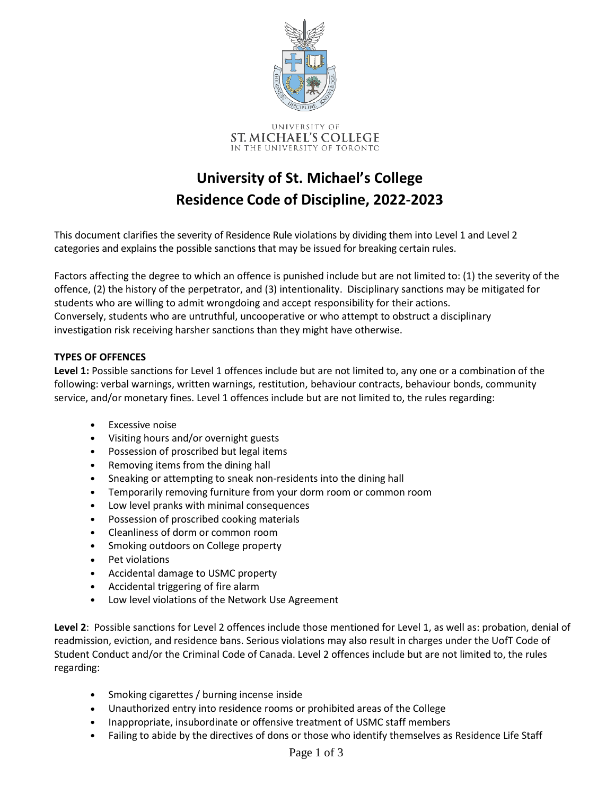

ST. MICHAEL'S COLLEGE IN THE UNIVERSITY OF TORONTO

## **University of St. Michael's College Residence Code of Discipline, 2022-2023**

This document clarifies the severity of Residence Rule violations by dividing them into Level 1 and Level 2 categories and explains the possible sanctions that may be issued for breaking certain rules.

Factors affecting the degree to which an offence is punished include but are not limited to: (1) the severity of the offence, (2) the history of the perpetrator, and (3) intentionality. Disciplinary sanctions may be mitigated for students who are willing to admit wrongdoing and accept responsibility for their actions. Conversely, students who are untruthful, uncooperative or who attempt to obstruct a disciplinary investigation risk receiving harsher sanctions than they might have otherwise.

## **TYPES OF OFFENCES**

**Level 1:** Possible sanctions for Level 1 offences include but are not limited to, any one or a combination of the following: verbal warnings, written warnings, restitution, behaviour contracts, behaviour bonds, community service, and/or monetary fines. Level 1 offences include but are not limited to, the rules regarding:

- Excessive noise
- Visiting hours and/or overnight guests
- Possession of proscribed but legal items
- Removing items from the dining hall
- Sneaking or attempting to sneak non-residents into the dining hall
- Temporarily removing furniture from your dorm room or common room
- Low level pranks with minimal consequences
- Possession of proscribed cooking materials
- Cleanliness of dorm or common room
- Smoking outdoors on College property
- Pet violations
- Accidental damage to USMC property
- Accidental triggering of fire alarm
- Low level violations of the Network Use Agreement

**Level 2**: Possible sanctions for Level 2 offences include those mentioned for Level 1, as well as: probation, denial of readmission, eviction, and residence bans. Serious violations may also result in charges under the UofT Code of Student Conduct and/or the Criminal Code of Canada. Level 2 offences include but are not limited to, the rules regarding:

- Smoking cigarettes / burning incense inside
- Unauthorized entry into residence rooms or prohibited areas of the College
- Inappropriate, insubordinate or offensive treatment of USMC staff members
- Failing to abide by the directives of dons or those who identify themselves as Residence Life Staff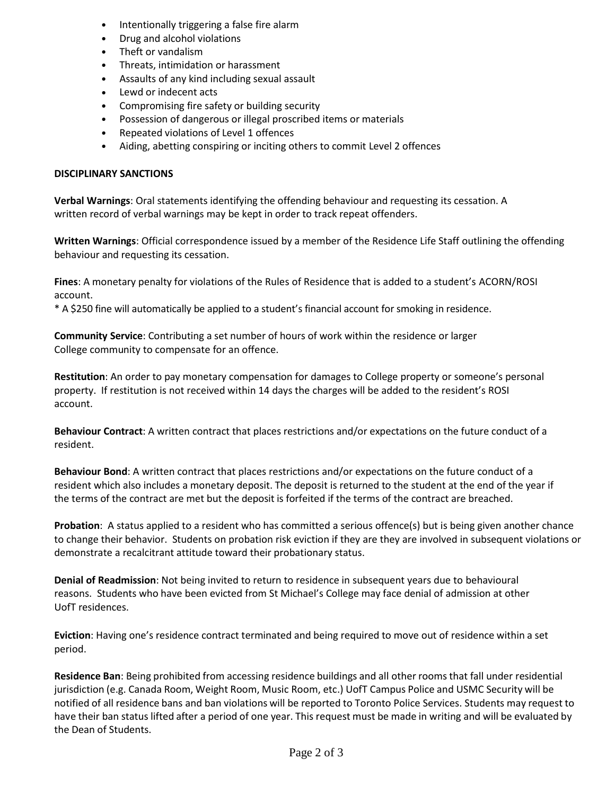- Intentionally triggering a false fire alarm
- Drug and alcohol violations
- Theft or vandalism
- Threats, intimidation or harassment
- Assaults of any kind including sexual assault
- Lewd or indecent acts
- Compromising fire safety or building security
- Possession of dangerous or illegal proscribed items or materials
- Repeated violations of Level 1 offences
- Aiding, abetting conspiring or inciting others to commit Level 2 offences

## **DISCIPLINARY SANCTIONS**

**Verbal Warnings**: Oral statements identifying the offending behaviour and requesting its cessation. A written record of verbal warnings may be kept in order to track repeat offenders.

**Written Warnings**: Official correspondence issued by a member of the Residence Life Staff outlining the offending behaviour and requesting its cessation.

**Fines**: A monetary penalty for violations of the Rules of Residence that is added to a student's ACORN/ROSI account.

\* A \$250 fine will automatically be applied to a student's financial account for smoking in residence.

**Community Service**: Contributing a set number of hours of work within the residence or larger College community to compensate for an offence.

**Restitution**: An order to pay monetary compensation for damages to College property or someone's personal property. If restitution is not received within 14 days the charges will be added to the resident's ROSI account.

**Behaviour Contract**: A written contract that places restrictions and/or expectations on the future conduct of a resident.

**Behaviour Bond**: A written contract that places restrictions and/or expectations on the future conduct of a resident which also includes a monetary deposit. The deposit is returned to the student at the end of the year if the terms of the contract are met but the deposit is forfeited if the terms of the contract are breached.

**Probation**: A status applied to a resident who has committed a serious offence(s) but is being given another chance to change their behavior. Students on probation risk eviction if they are they are involved in subsequent violations or demonstrate a recalcitrant attitude toward their probationary status.

**Denial of Readmission**: Not being invited to return to residence in subsequent years due to behavioural reasons. Students who have been evicted from St Michael's College may face denial of admission at other UofT residences.

**Eviction**: Having one's residence contract terminated and being required to move out of residence within a set period.

**Residence Ban**: Being prohibited from accessing residence buildings and all other rooms that fall under residential jurisdiction (e.g. Canada Room, Weight Room, Music Room, etc.) UofT Campus Police and USMC Security will be notified of all residence bans and ban violations will be reported to Toronto Police Services. Students may request to have their ban status lifted after a period of one year. This request must be made in writing and will be evaluated by the Dean of Students.